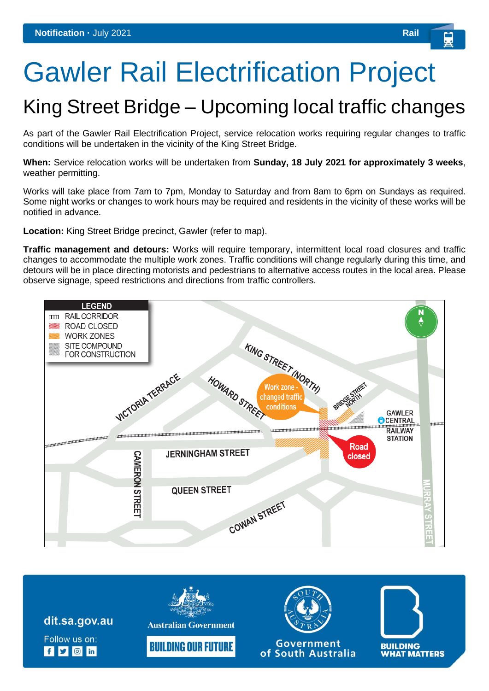## Gawler Rail Electrification Project

## King Street Bridge – Upcoming local traffic changes

As part of the Gawler Rail Electrification Project, service relocation works requiring regular changes to traffic conditions will be undertaken in the vicinity of the King Street Bridge.

**When:** Service relocation works will be undertaken from **Sunday, 18 July 2021 for approximately 3 weeks**, weather permitting.

Works will take place from 7am to 7pm, Monday to Saturday and from 8am to 6pm on Sundays as required. Some night works or changes to work hours may be required and residents in the vicinity of these works will be notified in advance.

**Location:** King Street Bridge precinct, Gawler (refer to map).

**Traffic management and detours:** Works will require temporary, intermittent local road closures and traffic changes to accommodate the multiple work zones. Traffic conditions will change regularly during this time, and detours will be in place directing motorists and pedestrians to alternative access routes in the local area. Please observe signage, speed restrictions and directions from traffic controllers.